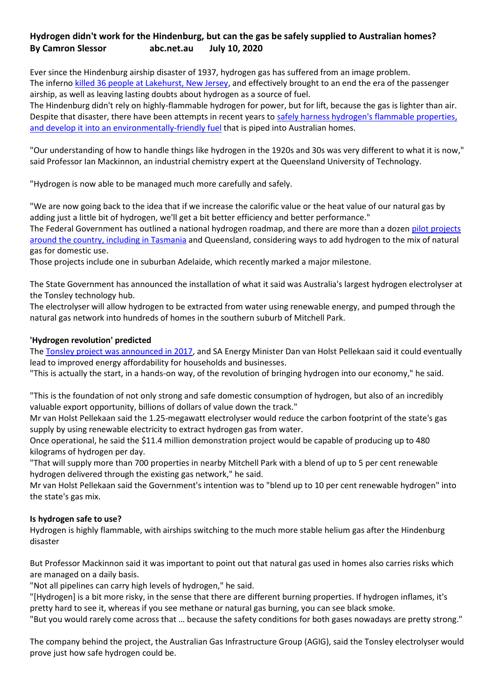## **Hydrogen didn't work for the Hindenburg, but can the gas be safely supplied to Australian homes? By Camron Slessor abc.net.au July 10, 2020**

Ever since the Hindenburg airship disaster of 1937, hydrogen gas has suffered from an image problem. The inferno [killed 36 people at Lakehurst, New Jersey,](https://www.abc.net.au/news/2012-05-06/images-keep-memory-of-hindenburg-alive/3993944) and effectively brought to an end the era of the passenger airship, as well as leaving lasting doubts about hydrogen as a source of fuel.

The Hindenburg didn't rely on highly-flammable hydrogen for power, but for lift, because the gas is lighter than air. Despite that disaster, there have been attempts in recent years to [safely harness hydrogen's flammable properties,](https://www.abc.net.au/news/2020-06-25/gladstone-to-become-hydrogen-energy-powerhouse/12373416)  [and develop it into an environmentally-friendly fuel](https://www.abc.net.au/news/2020-06-25/gladstone-to-become-hydrogen-energy-powerhouse/12373416) that is piped into Australian homes.

"Our understanding of how to handle things like hydrogen in the 1920s and 30s was very different to what it is now," said Professor Ian Mackinnon, an industrial chemistry expert at the Queensland University of Technology.

"Hydrogen is now able to be managed much more carefully and safely.

"We are now going back to the idea that if we increase the calorific value or the heat value of our natural gas by adding just a little bit of hydrogen, we'll get a bit better efficiency and better performance." The Federal Government has outlined a national hydrogen roadmap, and there are more than a dozen [pilot projects](https://www.abc.net.au/news/2020-03-02/hydrogen-energy-tasmania-government-to-invest-millions/12015654)  [around the country, including in Tasmania](https://www.abc.net.au/news/2020-03-02/hydrogen-energy-tasmania-government-to-invest-millions/12015654) and Queensland, considering ways to add hydrogen to the mix of natural gas for domestic use.

Those projects include one in suburban Adelaide, which recently marked a major milestone.

The State Government has announced the installation of what it said was Australia's largest hydrogen electrolyser at the Tonsley technology hub.

The electrolyser will allow hydrogen to be extracted from water using renewable energy, and pumped through the natural gas network into hundreds of homes in the southern suburb of Mitchell Park.

## **'Hydrogen revolution' predicted**

The [Tonsley project was announced in 2017,](https://www.abc.net.au/news/2017-08-08/trial-to-inject-hydrogen-into-gas-lines/8782956) and SA Energy Minister Dan van Holst Pellekaan said it could eventually lead to improved energy affordability for households and businesses.

"This is actually the start, in a hands-on way, of the revolution of bringing hydrogen into our economy," he said.

"This is the foundation of not only strong and safe domestic consumption of hydrogen, but also of an incredibly valuable export opportunity, billions of dollars of value down the track."

Mr van Holst Pellekaan said the 1.25-megawatt electrolyser would reduce the carbon footprint of the state's gas supply by using renewable electricity to extract hydrogen gas from water.

Once operational, he said the \$11.4 million demonstration project would be capable of producing up to 480 kilograms of hydrogen per day.

"That will supply more than 700 properties in nearby Mitchell Park with a blend of up to 5 per cent renewable hydrogen delivered through the existing gas network," he said.

Mr van Holst Pellekaan said the Government's intention was to "blend up to 10 per cent renewable hydrogen" into the state's gas mix.

## **Is hydrogen safe to use?**

Hydrogen is highly flammable, with airships switching to the much more stable helium gas after the Hindenburg disaster

But Professor Mackinnon said it was important to point out that natural gas used in homes also carries risks which are managed on a daily basis.

"Not all pipelines can carry high levels of hydrogen," he said.

"[Hydrogen] is a bit more risky, in the sense that there are different burning properties. If hydrogen inflames, it's pretty hard to see it, whereas if you see methane or natural gas burning, you can see black smoke. "But you would rarely come across that … because the safety conditions for both gases nowadays are pretty strong."

The company behind the project, the Australian Gas Infrastructure Group (AGIG), said the Tonsley electrolyser would prove just how safe hydrogen could be.